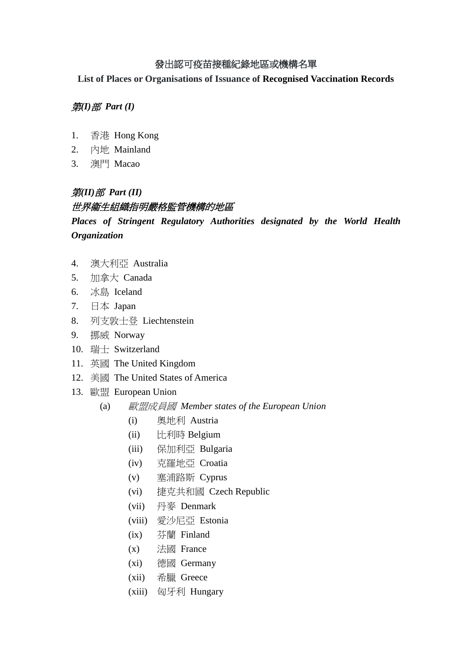### 發出認可疫苗接種紀錄地區或機構名單

**List of Places or Organisations of Issuance of Recognised Vaccination Records**

### 第*(I)*部 *Part (I)*

- 1. 香港 Hong Kong
- 2. 內地 Mainland
- 3. 澳門 Macao

## 第*(II)*部 *Part (II)*

## 世界衞生組織指明嚴格監管機構的地區

*Places of Stringent Regulatory Authorities designated by the World Health Organization*

- 4. 澳大利亞 Australia
- 5. 加拿大 Canada
- 6. 冰島 Iceland
- 7. 日本 Japan
- 8. 列支敦士登 Liechtenstein
- 9. 挪威 Norway
- 10. 瑞士 Switzerland
- 11. 英國 The United Kingdom
- 12. 美國 The United States of America
- 13. 歐盟 European Union
	- (a) 歐盟成員國 *Member states of the European Union*
		- (i) 奧地利 Austria
		- (ii) 比利時 Belgium
		- (iii) 保加利亞 Bulgaria
		- (iv) 克羅地亞 Croatia
		- (v) 塞浦路斯 Cyprus
		- (vi) 捷克共和國 Czech Republic
		- (vii) 丹麥 Denmark
		- (viii) 愛沙尼亞 Estonia
		- (ix) 芬蘭 Finland
		- (x) 法國 France
		- (xi) 德國 Germany
		- (xii) 希臘 Greece
		- (xiii) 匈牙利 Hungary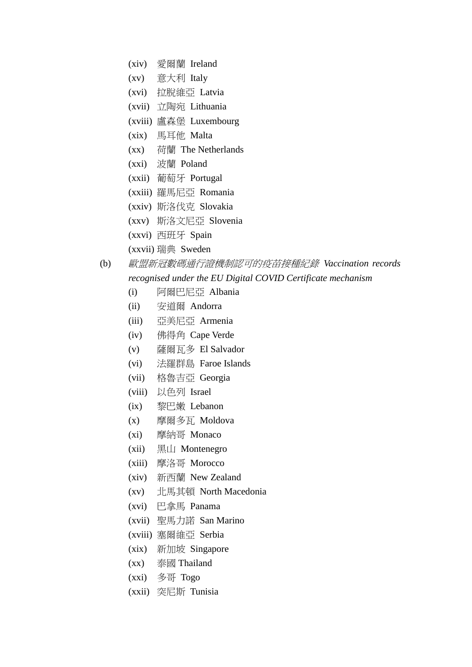- (xiv) 愛爾蘭 Ireland
- (xv) 意大利 Italy
- (xvi) 拉脫維亞 Latvia
- (xvii) 立陶宛 Lithuania
- (xviii) 盧森堡 Luxembourg
- (xix) 馬耳他 Malta
- (xx) 荷蘭 The Netherlands
- (xxi) 波蘭 Poland
- (xxii) 葡萄牙 Portugal
- (xxiii) 羅馬尼亞 Romania
- (xxiv) 斯洛伐克 Slovakia
- (xxv) 斯洛文尼亞 Slovenia
- (xxvi) 西班牙 Spain
- (xxvii) 瑞典 Sweden
- (b) 歐盟新冠數碼通行證機制認可的疫苗接種紀錄 *Vaccination records*

#### *recognised under the EU Digital COVID Certificate mechanism*

- (i) 阿爾巴尼亞 Albania
- (ii) 安道爾 Andorra
- (iii) 亞美尼亞 Armenia
- (iv) 佛得角 Cape Verde
- (v) 薩爾瓦多 El Salvador
- (vi) 法羅群島 Faroe Islands
- (vii) 格魯吉亞 Georgia
- (viii) 以色列 Israel
- (ix) 黎巴嫩 Lebanon
- (x) 摩爾多瓦 Moldova
- (xi) 摩納哥 Monaco
- (xii) 黑山 Montenegro
- (xiii) 摩洛哥 Morocco
- (xiv) 新西蘭 New Zealand
- (xv) 北馬其頓 North Macedonia
- (xvi) 巴拿馬 Panama
- (xvii) 聖馬力諾 San Marino
- (xviii) 塞爾維亞 Serbia
- (xix) 新加坡 Singapore
- (xx) 泰國 Thailand
- (xxi) 多哥 Togo
- (xxii) 突尼斯 Tunisia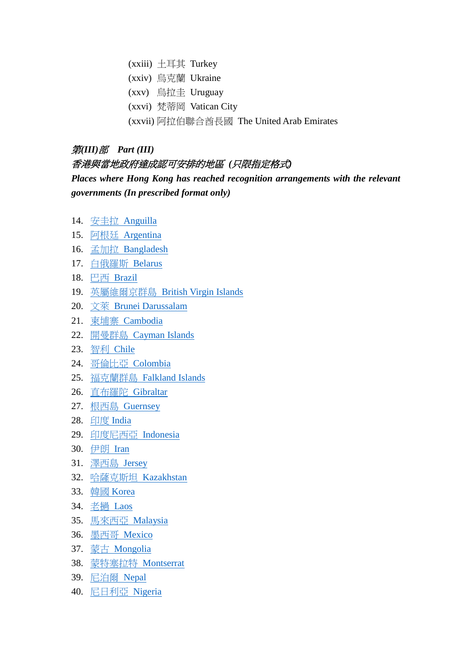- (xxiii)  $\pm$ 耳其 Turkey
- (xxiv) 烏克蘭 Ukraine
- (xxv) 烏拉圭 Uruguay
- (xxvi) 梵蒂岡 Vatican City
- (xxvii) 阿拉伯聯合酋長國 The United Arab Emirates

#### 第*(III)*部 *Part (III)*

#### 香港與當地政府達成認可安排的地區 *(*只限指定格式*)*

*Places where Hong Kong has reached recognition arrangements with the relevant governments (In prescribed format only)*

- 14. 安圭拉 [Anguilla](https://www.coronavirus.gov.hk/pdf/sample_vac_record_Anguilla.pdf)
- 15. 阿根廷 [Argentina](https://www.coronavirus.gov.hk/pdf/sample_vac_record_ARG.pdf)
- 16. 孟加拉 [Bangladesh](https://www.coronavirus.gov.hk/pdf/sample_vac_record_BGD.pdf)
- 17. [白俄羅斯](https://www.coronavirus.gov.hk/pdf/sample_vac_record_BEL.pdf) Belarus
- 18. 巴西 [Brazil](https://www.coronavirus.gov.hk/pdf/sample_vac_record_BRA.pdf)
- 19. 英屬維爾京群島 [British Virgin Islands](https://www.coronavirus.gov.hk/pdf/sample_vac_record_BVI.pdf)
- 20. 文萊 [Brunei Darussalam](https://www.coronavirus.gov.hk/pdf/sample_vac_record_BRN.pdf)
- 21. 柬埔寨 [Cambodia](https://www.coronavirus.gov.hk/pdf/sample_vac_record_CAM.pdf)
- 22. 開曼群島 [Cayman Islands](https://www.coronavirus.gov.hk/pdf/sample_vac_record_Cayman.pdf)
- 23. 智利 [Chile](https://www.coronavirus.gov.hk/pdf/sample_vac_record_CHL.pdf)
- 24. [哥倫比亞](https://www.coronavirus.gov.hk/pdf/sample_vac_record_COL.pdf) Colombia
- 25. [福克蘭群島](https://www.coronavirus.gov.hk/pdf/sample_vac_record_Falklands.pdf) Falkland Islands
- 26. [直布羅陀](https://www.coronavirus.gov.hk/pdf/sample_vac_record_Gibraltar.pdf) Gibraltar
- 27. 根西島 [Guernsey](https://www.coronavirus.gov.hk/pdf/sample_vac_record_Guernsey.pdf)
- 28. 印度 [India](https://www.coronavirus.gov.hk/pdf/sample_vac_record_India.pdf)
- 29. [印度尼西亞](https://www.coronavirus.gov.hk/pdf/sample_vac_record_IDN.pdf) Indonesia
- 30. [伊朗](https://www.coronavirus.gov.hk/pdf/sample_vac_record_IRAN.pdf) Iran
- 31. [澤西島](https://www.coronavirus.gov.hk/pdf/sample_vac_record_Jersey.pdf) Jersey
- 32. [哈薩克斯坦](https://www.coronavirus.gov.hk/pdf/sample_vac_record_KAZ.pdf) Kazakhstan
- 33. 韓國 [Korea](https://www.coronavirus.gov.hk/pdf/sample_vac_record_KOR.pdf)
- 34. [老撾](https://www.coronavirus.gov.hk/pdf/sample_vac_record_LAOS.pdf) Laos
- 35. [馬來西亞](https://www.coronavirus.gov.hk/pdf/sample_vac_record_MYL.pdf) Malaysia
- 36. 墨西哥 [Mexico](https://www.coronavirus.gov.hk/pdf/sample_vac_record_MEX.pdf)
- 37. 蒙古 [Mongolia](https://www.coronavirus.gov.hk/pdf/sample_vac_record_MNG.pdf)
- 38. [蒙特塞拉特](https://www.coronavirus.gov.hk/pdf/sample_vac_record_Montserrat.pdf) Montserrat
- 39. [尼泊爾](https://www.coronavirus.gov.hk/pdf/sample_vac_record_NEP.pdf) Nepal
- 40. [尼日利亞](https://www.coronavirus.gov.hk/pdf/sample_vac_record_NIG.pdf) Nigeria